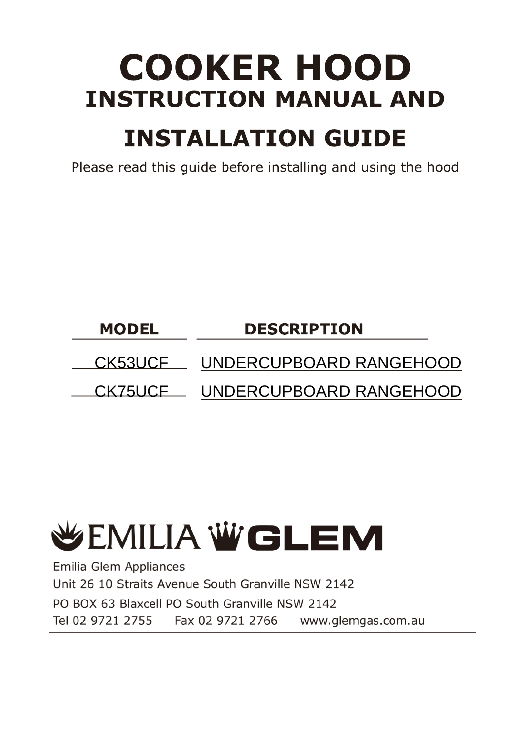# **COOKER HOOD INSTRUCTION MANUAL AND**

# **INSTALLATION GUIDE**

Please read this quide before installing and using the hood

## **MODEL DESCRIPTION** CK53UCF UNDERCUPBOARD RANGEHOOD CK75UCF UNDERCUPBOARD RANGEHOOD

# **WEMILIA WGLEM**

Emilia Glem Appliances Unit 26 10 Straits Avenue South Granville NSW 2142 PO BOX 63 Blaxcell PO South Granville NSW 2142 Tel 02 9721 2755 Fax 02 9721 2766 www.glemgas.com.au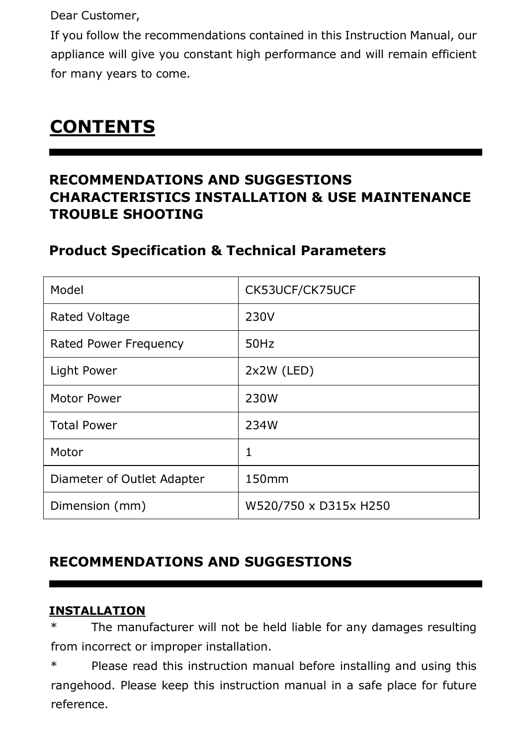Dear Customer,

If you follow the recommendations contained in this Instruction Manual, our appliance will give you constant high performance and will remain efficient for many years to come.

# **CONTENTS**

### **RECOMMENDATIONS AND SUGGESTIONS CHARACTERISTICS INSTALLATION & USE MAINTENANCE TROUBLE SHOOTING**

#### **Product Specification & Technical Parameters**

| Model                      | CK53UCF/CK75UCF       |
|----------------------------|-----------------------|
| Rated Voltage              | 230V                  |
| Rated Power Frequency      | 50Hz                  |
| Light Power                | 2x2W (LED)            |
| Motor Power                | 230W                  |
| <b>Total Power</b>         | 234W                  |
| Motor                      | 1                     |
| Diameter of Outlet Adapter | 150mm                 |
| Dimension (mm)             | W520/750 x D315x H250 |

### **RECOMMENDATIONS AND SUGGESTIONS**

#### **INSTALLATION**

The manufacturer will not be held liable for any damages resulting from incorrect or improper installation.

\* Please read this instruction manual before installing and using this rangehood. Please keep this instruction manual in a safe place for future reference.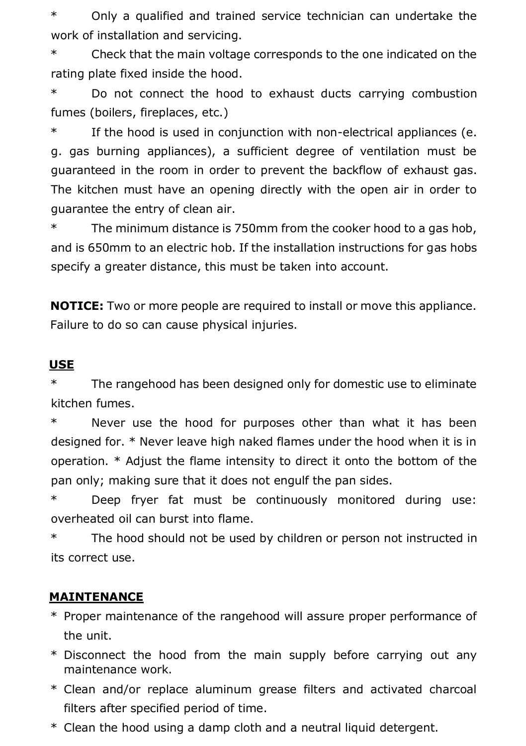\* Only a qualified and trained service technician can undertake the work of installation and servicing.

\* Check that the main voltage corresponds to the one indicated on the rating plate fixed inside the hood.

\* Do not connect the hood to exhaust ducts carrying combustion fumes (boilers, fireplaces, etc.)

\* If the hood is used in conjunction with non-electrical appliances (e. g. gas burning appliances), a sufficient degree of ventilation must be guaranteed in the room in order to prevent the backflow of exhaust gas. The kitchen must have an opening directly with the open air in order to guarantee the entry of clean air.

\* The minimum distance is 750mm from the cooker hood to a gas hob, and is 650mm to an electric hob. If the installation instructions for gas hobs specify a greater distance, this must be taken into account.

**NOTICE:** Two or more people are required to install or move this appliance. Failure to do so can cause physical injuries.

#### **USE**

\* The rangehood has been designed only for domestic use to eliminate kitchen fumes.

\* Never use the hood for purposes other than what it has been designed for. \* Never leave high naked flames under the hood when it is in operation. \* Adjust the flame intensity to direct it onto the bottom of the pan only; making sure that it does not engulf the pan sides.

\* Deep fryer fat must be continuously monitored during use: overheated oil can burst into flame.

\* The hood should not be used by children or person not instructed in its correct use.

#### **MAINTENANCE**

- \* Proper maintenance of the rangehood will assure proper performance of the unit.
- \* Disconnect the hood from the main supply before carrying out any maintenance work.
- \* Clean and/or replace aluminum grease filters and activated charcoal filters after specified period of time.
- \* Clean the hood using a damp cloth and a neutral liquid detergent.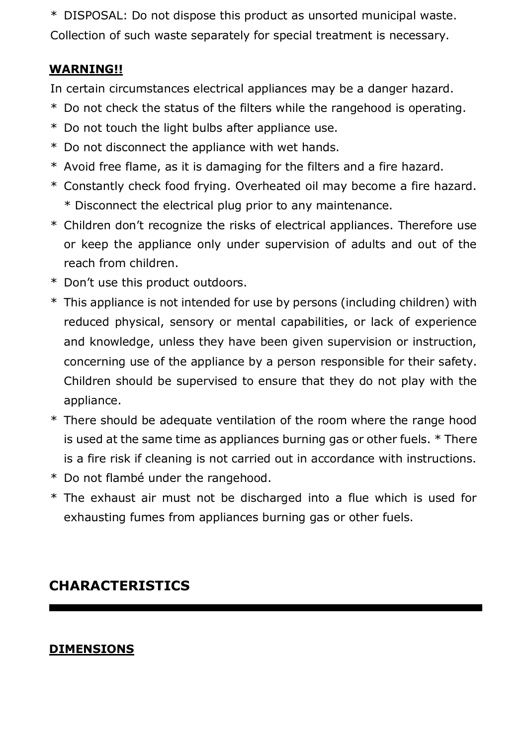\* DISPOSAL: Do not dispose this product as unsorted municipal waste. Collection of such waste separately for special treatment is necessary.

#### **WARNING!!**

In certain circumstances electrical appliances may be a danger hazard.

- \* Do not check the status of the filters while the rangehood is operating.
- \* Do not touch the light bulbs after appliance use.
- \* Do not disconnect the appliance with wet hands.
- \* Avoid free flame, as it is damaging for the filters and a fire hazard.
- \* Constantly check food frying. Overheated oil may become a fire hazard. \* Disconnect the electrical plug prior to any maintenance.
- \* Children don't recognize the risks of electrical appliances. Therefore use or keep the appliance only under supervision of adults and out of the reach from children.
- \* Don't use this product outdoors.
- \* This appliance is not intended for use by persons (including children) with reduced physical, sensory or mental capabilities, or lack of experience and knowledge, unless they have been given supervision or instruction, concerning use of the appliance by a person responsible for their safety. Children should be supervised to ensure that they do not play with the appliance.
- \* There should be adequate ventilation of the room where the range hood is used at the same time as appliances burning gas or other fuels. \* There is a fire risk if cleaning is not carried out in accordance with instructions.
- \* Do not flambé under the rangehood.
- \* The exhaust air must not be discharged into a flue which is used for exhausting fumes from appliances burning gas or other fuels.

## **CHARACTERISTICS**

#### **DIMENSIONS**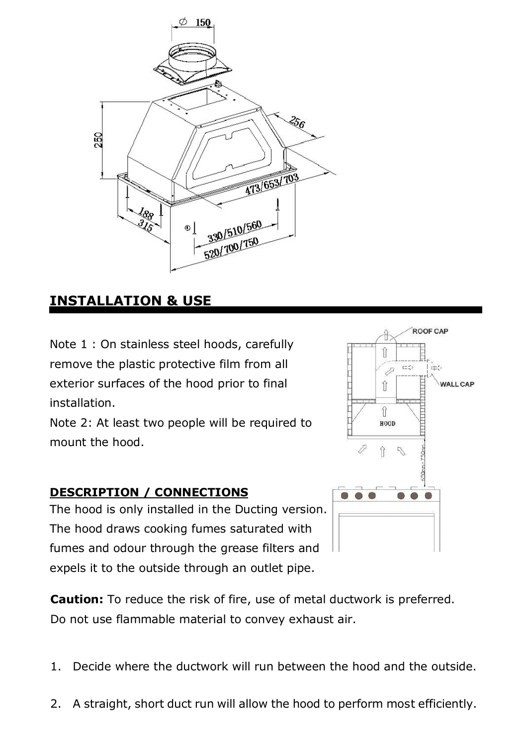

#### **INSTALLATION & USE**

Note 1 : On stainless steel hoods, carefully remove the plastic protective film from all exterior surfaces of the hood prior to final installation.

Note 2: At least two people will be required to mount the hood.

#### **DESCRIPTION / CONNECTIONS**

The hood is only installed in the Ducting version. The hood draws cooking fumes saturated with fumes and odour through the grease filters and expels it to the outside through an outlet pipe.



- 1. Decide where the ductwork will run between the hood and the outside.
- 2. A straight, short duct run will allow the hood to perform most efficiently.

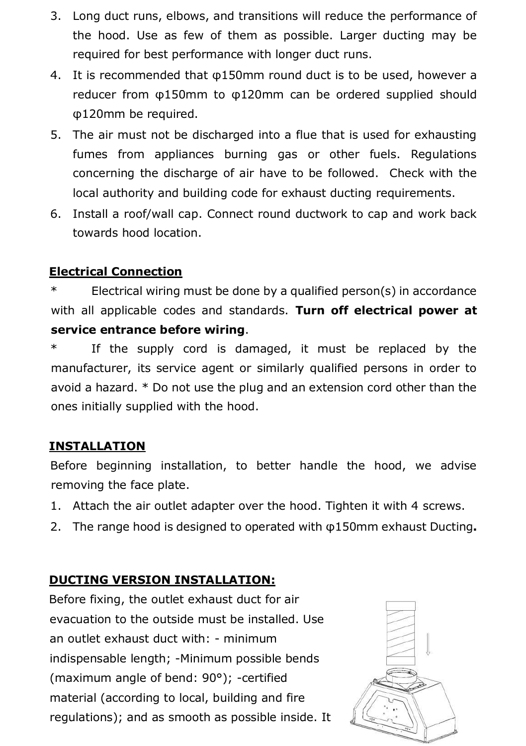- 3. Long duct runs, elbows, and transitions will reduce the performance of the hood. Use as few of them as possible. Larger ducting may be required for best performance with longer duct runs.
- 4. It is recommended that φ150mm round duct is to be used, however a reducer from φ150mm to φ120mm can be ordered supplied should φ120mm be required.
- 5. The air must not be discharged into a flue that is used for exhausting fumes from appliances burning gas or other fuels. Regulations concerning the discharge of air have to be followed. Check with the local authority and building code for exhaust ducting requirements.
- 6. Install a roof/wall cap. Connect round ductwork to cap and work back towards hood location.

#### **Electrical Connection**

\* Electrical wiring must be done by a qualified person(s) in accordance with all applicable codes and standards. **Turn off electrical power at service entrance before wiring**.

\* If the supply cord is damaged, it must be replaced by the manufacturer, its service agent or similarly qualified persons in order to avoid a hazard. \* Do not use the plug and an extension cord other than the ones initially supplied with the hood.

#### **INSTALLATION**

Before beginning installation, to better handle the hood, we advise removing the face plate.

- 1. Attach the air outlet adapter over the hood. Tighten it with 4 screws.
- 2. The range hood is designed to operated with φ150mm exhaust Ducting**.**

#### **DUCTING VERSION INSTALLATION:**

Before fixing, the outlet exhaust duct for air evacuation to the outside must be installed. Use an outlet exhaust duct with: - minimum indispensable length; -Minimum possible bends (maximum angle of bend: 90°); -certified material (according to local, building and fire regulations); and as smooth as possible inside. It

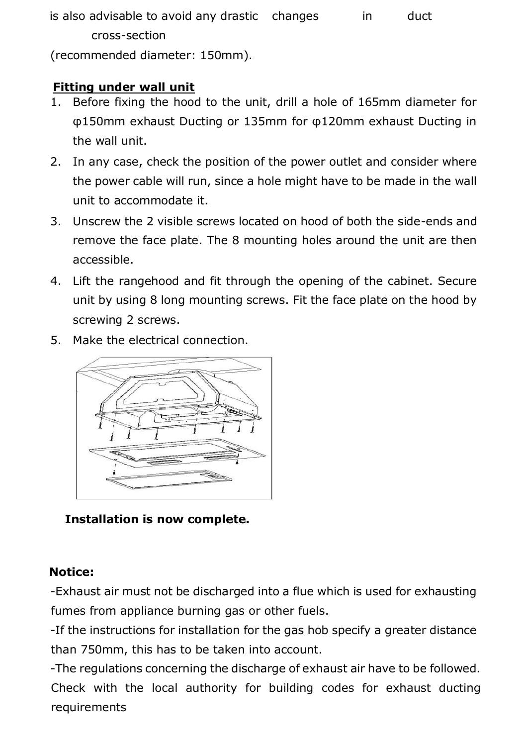is also advisable to avoid any drastic changes in duct cross-section

(recommended diameter: 150mm).

#### **Fitting under wall unit**

- 1. Before fixing the hood to the unit, drill a hole of 165mm diameter for φ150mm exhaust Ducting or 135mm for φ120mm exhaust Ducting in the wall unit.
- 2. In any case, check the position of the power outlet and consider where the power cable will run, since a hole might have to be made in the wall unit to accommodate it.
- 3. Unscrew the 2 visible screws located on hood of both the side-ends and remove the face plate. The 8 mounting holes around the unit are then accessible.
- 4. Lift the rangehood and fit through the opening of the cabinet. Secure unit by using 8 long mounting screws. Fit the face plate on the hood by screwing 2 screws.
- 5. Make the electrical connection.



#### **Installation is now complete.**

#### **Notice:**

-Exhaust air must not be discharged into a flue which is used for exhausting fumes from appliance burning gas or other fuels.

-If the instructions for installation for the gas hob specify a greater distance than 750mm, this has to be taken into account.

-The regulations concerning the discharge of exhaust air have to be followed. Check with the local authority for building codes for exhaust ducting requirements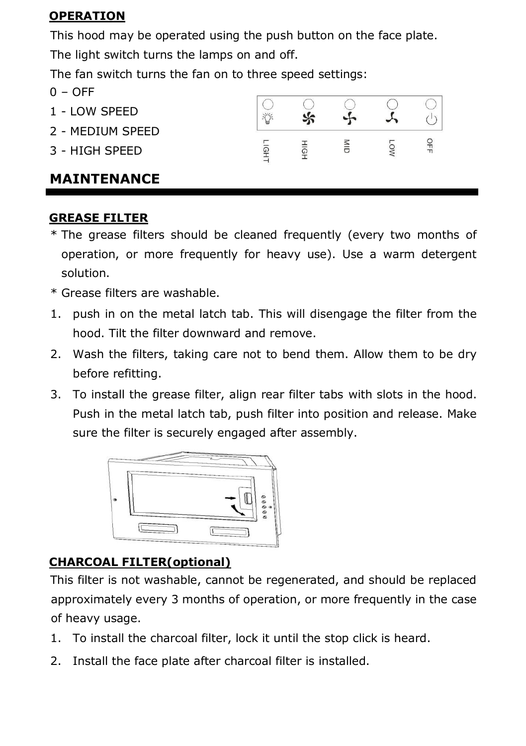#### **OPERATION**

This hood may be operated using the push button on the face plate.

The light switch turns the lamps on and off.

The fan switch turns the fan on to three speed settings:

- $0 -$  OFF
- 1 LOW SPEED
- 2 MEDIUM SPEED
- 3 HIGH SPEED

#### $\bigcirc$  $\Omega$ ∩  $\frac{1}{2}$  $\overline{f}$ 学 LIGH<sup>T</sup>  $rac{8}{10}$ OFF HIGI LOV

### **MAINTENANCE**

#### **GREASE FILTER**

- \* The grease filters should be cleaned frequently (every two months of operation, or more frequently for heavy use). Use a warm detergent solution.
- \* Grease filters are washable.
- 1. push in on the metal latch tab. This will disengage the filter from the hood. Tilt the filter downward and remove.
- 2. Wash the filters, taking care not to bend them. Allow them to be dry before refitting.
- 3. To install the grease filter, align rear filter tabs with slots in the hood. Push in the metal latch tab, push filter into position and release. Make sure the filter is securely engaged after assembly.



## **CHARCOAL FILTER(optional)**

This filter is not washable, cannot be regenerated, and should be replaced approximately every 3 months of operation, or more frequently in the case of heavy usage.

- 1. To install the charcoal filter, lock it until the stop click is heard.
- 2. Install the face plate after charcoal filter is installed.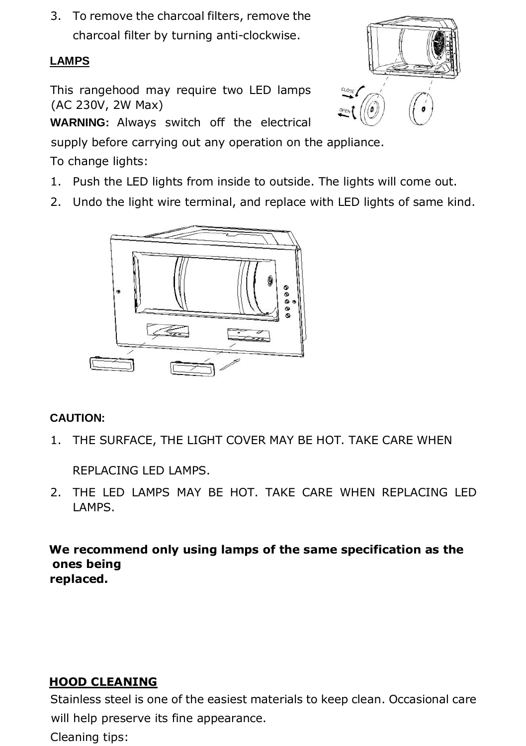3. To remove the charcoal filters, remove the charcoal filter by turning anti-clockwise.

#### **LAMPS**

This rangehood may require two LED lamps (AC 230V, 2W Max)

**WARNING:** Always switch off the electrical

supply before carrying out any operation on the appliance.

To change lights:

- 1. Push the LED lights from inside to outside. The lights will come out.
- 2. Undo the light wire terminal, and replace with LED lights of same kind.



#### **CAUTION:**

1. THE SURFACE, THE LIGHT COVER MAY BE HOT. TAKE CARE WHEN

REPLACING LED LAMPS.

2. THE LED LAMPS MAY BE HOT. TAKE CARE WHEN REPLACING LED LAMPS.

**We recommend only using lamps of the same specification as the ones being replaced.** 

#### **HOOD CLEANING**

Stainless steel is one of the easiest materials to keep clean. Occasional care will help preserve its fine appearance. Cleaning tips:

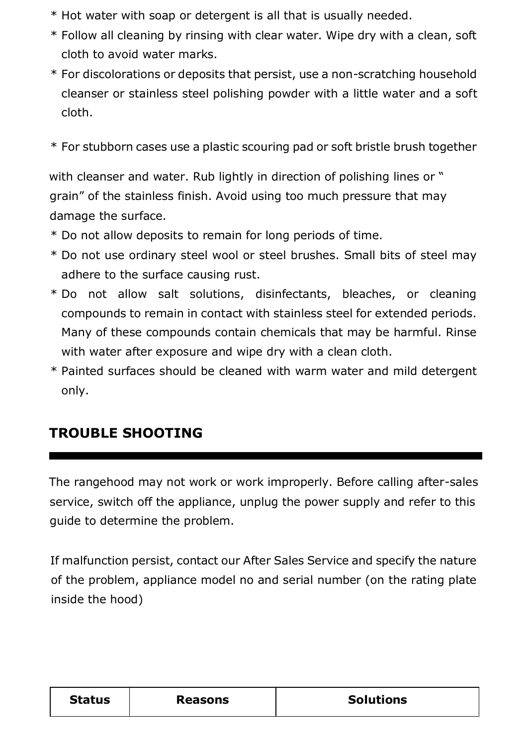- \* Hot water with soap or detergent is all that is usually needed.
- \* Follow all cleaning by rinsing with clear water. Wipe dry with a clean, soft cloth to avoid water marks.
- \* For discolorations or deposits that persist, use a non-scratching household cleanser or stainless steel polishing powder with a little water and a soft cloth.
- \* For stubborn cases use a plastic scouring pad or soft bristle brush together

with cleanser and water. Rub lightly in direction of polishing lines or " grain" of the stainless finish. Avoid using too much pressure that may damage the surface.

- \* Do not allow deposits to remain for long periods of time.
- \* Do not use ordinary steel wool or steel brushes. Small bits of steel may adhere to the surface causing rust.
- \* Do not allow salt solutions, disinfectants, bleaches, or cleaning compounds to remain in contact with stainless steel for extended periods. Many of these compounds contain chemicals that may be harmful. Rinse with water after exposure and wipe dry with a clean cloth.
- \* Painted surfaces should be cleaned with warm water and mild detergent only.

### **TROUBLE SHOOTING**

The rangehood may not work or work improperly. Before calling after-sales service, switch off the appliance, unplug the power supply and refer to this guide to determine the problem.

If malfunction persist, contact our After Sales Service and specify the nature of the problem, appliance model no and serial number (on the rating plate inside the hood)

| <b>Solutions</b><br><b>Status</b><br>Reasons |  |
|----------------------------------------------|--|
|----------------------------------------------|--|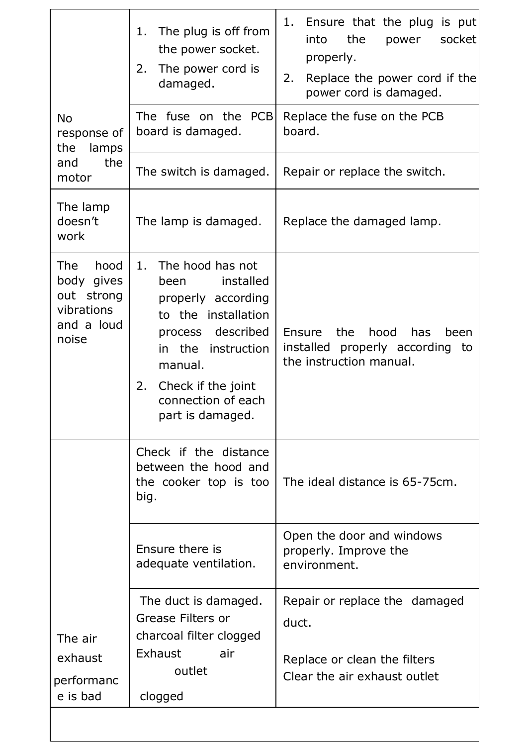| No<br>response of<br>the<br>lamps<br>the<br>and                                | The plug is off from<br>1.<br>the power socket.<br>2.<br>The power cord is<br>damaged.<br>The fuse on the PCB<br>board is damaged.<br>The switch is damaged.                                                            | Ensure that the plug is put<br>1.<br>the<br>socket<br>into<br>power<br>properly.<br>Replace the power cord if the<br>2.<br>power cord is damaged.<br>Replace the fuse on the PCB<br>board.<br>Repair or replace the switch. |
|--------------------------------------------------------------------------------|-------------------------------------------------------------------------------------------------------------------------------------------------------------------------------------------------------------------------|-----------------------------------------------------------------------------------------------------------------------------------------------------------------------------------------------------------------------------|
| motor                                                                          |                                                                                                                                                                                                                         |                                                                                                                                                                                                                             |
| The lamp<br>doesn't<br>work                                                    | The lamp is damaged.                                                                                                                                                                                                    | Replace the damaged lamp.                                                                                                                                                                                                   |
| hood<br>The .<br>body gives<br>out strong<br>vibrations<br>and a loud<br>noise | The hood has not<br>1.<br>installed<br>been<br>properly according<br>to the installation<br>process described<br>in the<br>instruction<br>manual.<br>Check if the joint<br>2.<br>connection of each<br>part is damaged. | hood<br>Ensure<br>the<br>has<br>been<br>installed properly according to<br>the instruction manual.                                                                                                                          |
|                                                                                | Check if the distance<br>between the hood and<br>the cooker top is too<br>big.                                                                                                                                          | The ideal distance is 65-75cm.                                                                                                                                                                                              |
|                                                                                | Ensure there is<br>adequate ventilation.                                                                                                                                                                                | Open the door and windows<br>properly. Improve the<br>environment.                                                                                                                                                          |
| The air<br>exhaust<br>performanc<br>e is bad                                   | The duct is damaged.<br>Grease Filters or<br>charcoal filter clogged<br>Exhaust<br>air<br>outlet<br>clogged                                                                                                             | Repair or replace the damaged<br>duct.<br>Replace or clean the filters<br>Clear the air exhaust outlet                                                                                                                      |